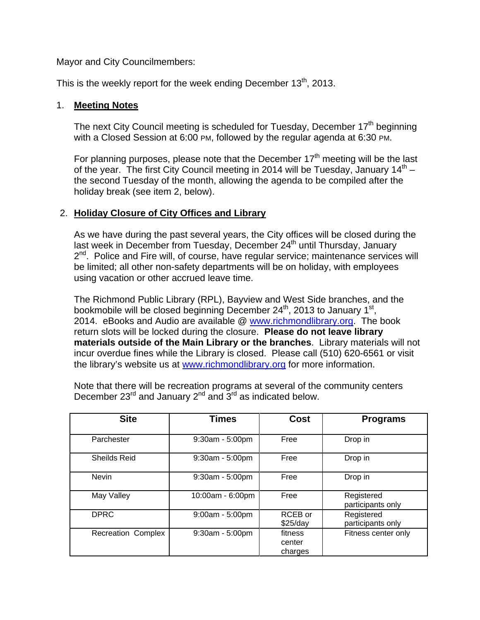Mayor and City Councilmembers:

This is the weekly report for the week ending December  $13<sup>th</sup>$ , 2013.

#### 1. **Meeting Notes**

The next City Council meeting is scheduled for Tuesday, December  $17<sup>th</sup>$  beginning with a Closed Session at 6:00 PM, followed by the regular agenda at 6:30 PM.

For planning purposes, please note that the December  $17<sup>th</sup>$  meeting will be the last of the year. The first City Council meeting in 2014 will be Tuesday, January  $14<sup>th</sup>$  – the second Tuesday of the month, allowing the agenda to be compiled after the holiday break (see item 2, below).

## 2. **Holiday Closure of City Offices and Library**

As we have during the past several years, the City offices will be closed during the last week in December from Tuesday, December 24<sup>th</sup> until Thursday, January  $2<sup>nd</sup>$ . Police and Fire will, of course, have regular service; maintenance services will be limited; all other non-safety departments will be on holiday, with employees using vacation or other accrued leave time.

The Richmond Public Library (RPL), Bayview and West Side branches, and the bookmobile will be closed beginning December  $24<sup>th</sup>$ , 2013 to January 1<sup>st</sup>, 2014. eBooks and Audio are available @ www.richmondlibrary.org. The book return slots will be locked during the closure. **Please do not leave library materials outside of the Main Library or the branches**. Library materials will not incur overdue fines while the Library is closed. Please call (510) 620-6561 or visit the library's website us at www.richmondlibrary.org for more information.

| <b>Site</b>               | Times             | Cost                         | <b>Programs</b>                 |
|---------------------------|-------------------|------------------------------|---------------------------------|
| Parchester                | 9:30am - 5:00pm   | Free                         | Drop in                         |
| <b>Sheilds Reid</b>       | 9:30am - 5:00pm   | Free                         | Drop in                         |
| <b>Nevin</b>              | $9:30am - 5:00pm$ | Free                         | Drop in                         |
| May Valley                | 10:00am - 6:00pm  | Free                         | Registered<br>participants only |
| <b>DPRC</b>               | $9:00am - 5:00pm$ | RCEB or<br>$$25$ /day        | Registered<br>participants only |
| <b>Recreation Complex</b> | $9:30am - 5:00pm$ | fitness<br>center<br>charges | Fitness center only             |

Note that there will be recreation programs at several of the community centers December  $23^{\text{rd}}$  and January  $2^{\text{nd}}$  and  $3^{\text{rd}}$  as indicated below.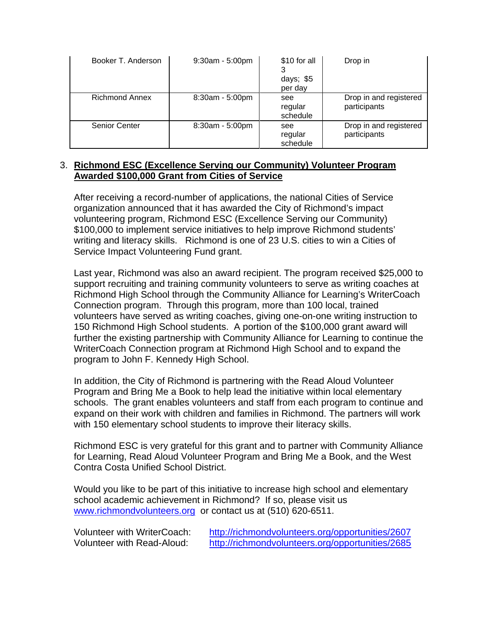| Booker T. Anderson    | 9:30am - 5:00pm | \$10 for all<br>days; \$5<br>per day | Drop in                                |
|-----------------------|-----------------|--------------------------------------|----------------------------------------|
| <b>Richmond Annex</b> | 8:30am - 5:00pm | see<br>regular<br>schedule           | Drop in and registered<br>participants |
| <b>Senior Center</b>  | 8:30am - 5:00pm | see<br>regular<br>schedule           | Drop in and registered<br>participants |

### 3. **Richmond ESC (Excellence Serving our Community) Volunteer Program Awarded \$100,000 Grant from Cities of Service**

After receiving a record-number of applications, the national Cities of Service organization announced that it has awarded the City of Richmond's impact volunteering program, Richmond ESC (Excellence Serving our Community) \$100,000 to implement service initiatives to help improve Richmond students' writing and literacy skills. Richmond is one of 23 U.S. cities to win a Cities of Service Impact Volunteering Fund grant.

Last year, Richmond was also an award recipient. The program received \$25,000 to support recruiting and training community volunteers to serve as writing coaches at Richmond High School through the Community Alliance for Learning's WriterCoach Connection program. Through this program, more than 100 local, trained volunteers have served as writing coaches, giving one-on-one writing instruction to 150 Richmond High School students. A portion of the \$100,000 grant award will further the existing partnership with Community Alliance for Learning to continue the WriterCoach Connection program at Richmond High School and to expand the program to John F. Kennedy High School.

In addition, the City of Richmond is partnering with the Read Aloud Volunteer Program and Bring Me a Book to help lead the initiative within local elementary schools. The grant enables volunteers and staff from each program to continue and expand on their work with children and families in Richmond. The partners will work with 150 elementary school students to improve their literacy skills.

Richmond ESC is very grateful for this grant and to partner with Community Alliance for Learning, Read Aloud Volunteer Program and Bring Me a Book, and the West Contra Costa Unified School District.

Would you like to be part of this initiative to increase high school and elementary school academic achievement in Richmond? If so, please visit us www.richmondvolunteers.org or contact us at (510) 620-6511.

| <b>Volunteer with WriterCoach:</b> | http://richmondvolunteers.org/opportunities/2607 |
|------------------------------------|--------------------------------------------------|
| Volunteer with Read-Aloud:         | http://richmondvolunteers.org/opportunities/2685 |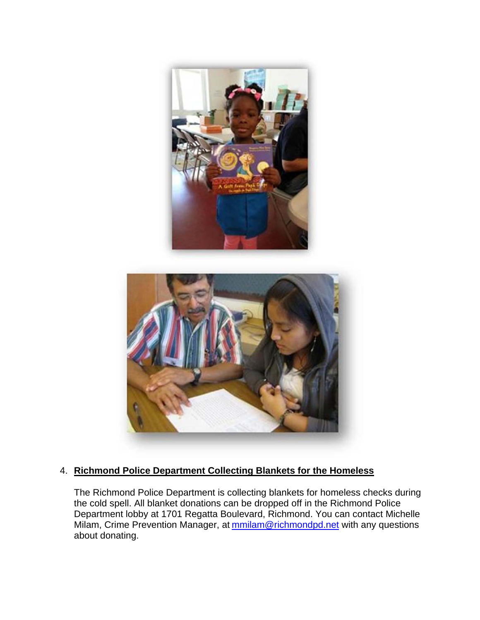



## 4. **Richmond Police Department Collecting Blankets for the Homeless**

The Richmond Police Department is collecting blankets for homeless checks during the cold spell. All blanket donations can be dropped off in the Richmond Police Department lobby at 1701 Regatta Boulevard, Richmond. You can contact Michelle Milam, Crime Prevention Manager, at **mmilam@richmondpd.net** with any questions about donating.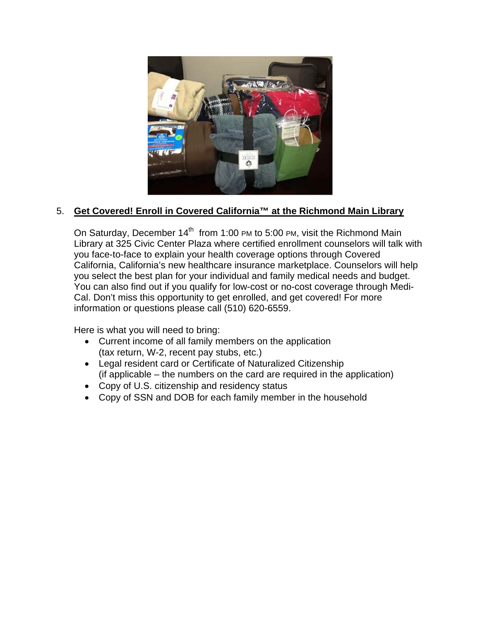

## 5. **Get Covered! Enroll in Covered California™ at the Richmond Main Library**

On Saturday, December  $14<sup>th</sup>$  from 1:00 PM to 5:00 PM, visit the Richmond Main Library at 325 Civic Center Plaza where certified enrollment counselors will talk with you face-to-face to explain your health coverage options through Covered California, California's new healthcare insurance marketplace. Counselors will help you select the best plan for your individual and family medical needs and budget. You can also find out if you qualify for low-cost or no-cost coverage through Medi-Cal. Don't miss this opportunity to get enrolled, and get covered! For more information or questions please call (510) 620-6559.

Here is what you will need to bring:

- Current income of all family members on the application (tax return, W-2, recent pay stubs, etc.)
- Legal resident card or Certificate of Naturalized Citizenship (if applicable – the numbers on the card are required in the application)
- Copy of U.S. citizenship and residency status
- Copy of SSN and DOB for each family member in the household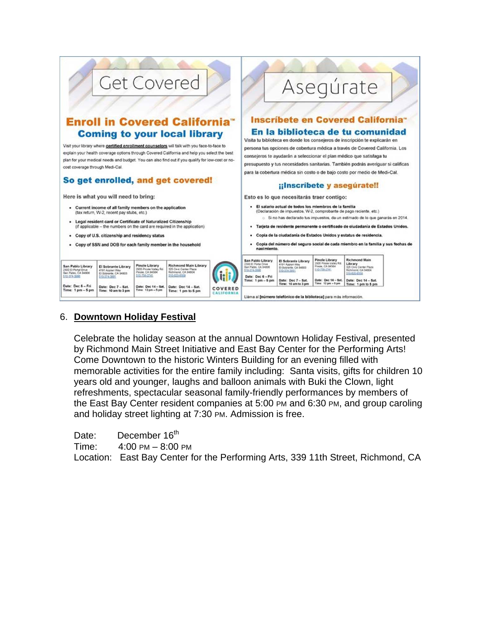

### 6. **Downtown Holiday Festival**

Celebrate the holiday season at the annual Downtown Holiday Festival, presented by Richmond Main Street Initiative and East Bay Center for the Performing Arts! Come Downtown to the historic Winters Building for an evening filled with memorable activities for the entire family including: Santa visits, gifts for children 10 years old and younger, laughs and balloon animals with Buki the Clown, light refreshments, spectacular seasonal family-friendly performances by members of the East Bay Center resident companies at 5:00 PM and 6:30 PM, and group caroling and holiday street lighting at 7:30 PM. Admission is free.

Date: December 16<sup>th</sup>

Time: 4:00 PM – 8:00 PM

Location: East Bay Center for the Performing Arts, 339 11th Street, Richmond, CA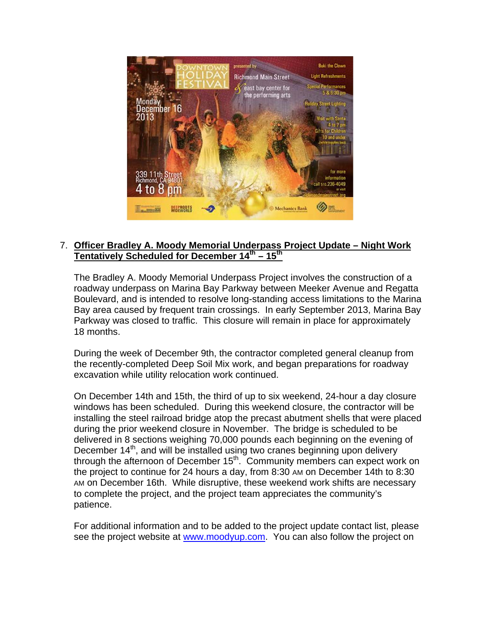

## 7. **Officer Bradley A. Moody Memorial Underpass Project Update – Night Work Tentatively Scheduled for December 14th – 15th**

The Bradley A. Moody Memorial Underpass Project involves the construction of a roadway underpass on Marina Bay Parkway between Meeker Avenue and Regatta Boulevard, and is intended to resolve long-standing access limitations to the Marina Bay area caused by frequent train crossings. In early September 2013, Marina Bay Parkway was closed to traffic. This closure will remain in place for approximately 18 months.

During the week of December 9th, the contractor completed general cleanup from the recently-completed Deep Soil Mix work, and began preparations for roadway excavation while utility relocation work continued.

On December 14th and 15th, the third of up to six weekend, 24-hour a day closure windows has been scheduled. During this weekend closure, the contractor will be installing the steel railroad bridge atop the precast abutment shells that were placed during the prior weekend closure in November. The bridge is scheduled to be delivered in 8 sections weighing 70,000 pounds each beginning on the evening of December 14<sup>th</sup>, and will be installed using two cranes beginning upon delivery through the afternoon of December  $15<sup>th</sup>$ . Community members can expect work on the project to continue for 24 hours a day, from 8:30 AM on December 14th to 8:30 AM on December 16th. While disruptive, these weekend work shifts are necessary to complete the project, and the project team appreciates the community's patience.

For additional information and to be added to the project update contact list, please see the project website at www.moodyup.com. You can also follow the project on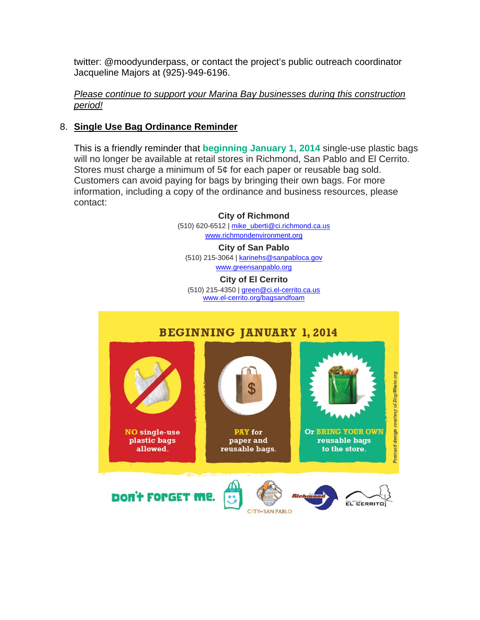twitter: @moodyunderpass, or contact the project's public outreach coordinator Jacqueline Majors at (925)-949-6196.

#### *Please continue to support your Marina Bay businesses during this construction period!*

## 8. **Single Use Bag Ordinance Reminder**

This is a friendly reminder that **beginning January 1, 2014** single-use plastic bags will no longer be available at retail stores in Richmond, San Pablo and El Cerrito. Stores must charge a minimum of 5¢ for each paper or reusable bag sold. Customers can avoid paying for bags by bringing their own bags. For more information, including a copy of the ordinance and business resources, please contact:

> **City of Richmond** (510) 620-6512 | mike\_uberti@ci.richmond.ca.us www.richmondenvironment.org **City of San Pablo**

(510) 215-3064 | karinehs@sanpabloca.gov www.greensanpablo.org

**City of El Cerrito**

(510) 215-4350 | green@ci.el-cerrito.ca.us www.el-cerrito.org/bagsandfoam

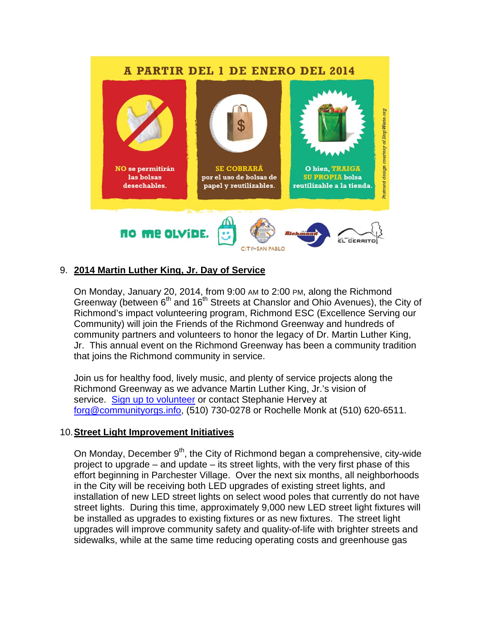## A PARTIR DEL 1 DE ENERO DEL 2014



### 9. **2014 Martin Luther King, Jr. Day of Service**

On Monday, January 20, 2014, from 9:00 AM to 2:00 PM, along the Richmond Greenway (between 6<sup>th</sup> and 16<sup>th</sup> Streets at Chanslor and Ohio Avenues), the City of Richmond's impact volunteering program, Richmond ESC (Excellence Serving our Community) will join the Friends of the Richmond Greenway and hundreds of community partners and volunteers to honor the legacy of Dr. Martin Luther King, Jr. This annual event on the Richmond Greenway has been a community tradition that joins the Richmond community in service.

**CITY SAN PABLO** 

Join us for healthy food, lively music, and plenty of service projects along the Richmond Greenway as we advance Martin Luther King, Jr.'s vision of service. Sign up to volunteer or contact Stephanie Hervey at forg@communityorgs.info, (510) 730-0278 or Rochelle Monk at (510) 620-6511.

### 10. **Street Light Improvement Initiatives**

On Monday, December  $9<sup>th</sup>$ , the City of Richmond began a comprehensive, city-wide project to upgrade – and update – its street lights, with the very first phase of this effort beginning in Parchester Village. Over the next six months, all neighborhoods in the City will be receiving both LED upgrades of existing street lights, and installation of new LED street lights on select wood poles that currently do not have street lights. During this time, approximately 9,000 new LED street light fixtures will be installed as upgrades to existing fixtures or as new fixtures. The street light upgrades will improve community safety and quality-of-life with brighter streets and sidewalks, while at the same time reducing operating costs and greenhouse gas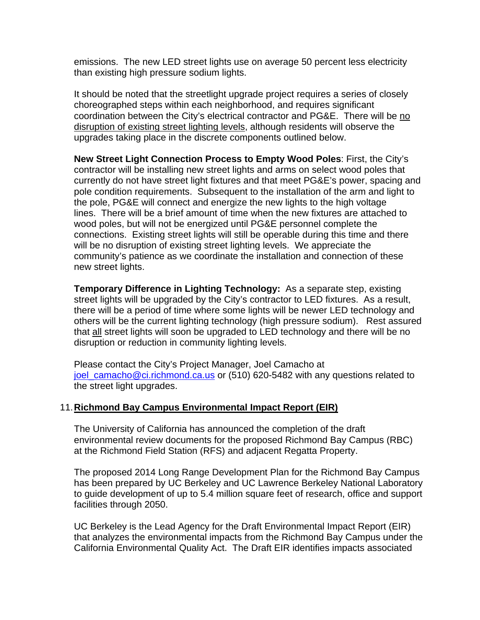emissions. The new LED street lights use on average 50 percent less electricity than existing high pressure sodium lights.

It should be noted that the streetlight upgrade project requires a series of closely choreographed steps within each neighborhood, and requires significant coordination between the City's electrical contractor and PG&E. There will be no disruption of existing street lighting levels, although residents will observe the upgrades taking place in the discrete components outlined below.

**New Street Light Connection Process to Empty Wood Poles**: First, the City's contractor will be installing new street lights and arms on select wood poles that currently do not have street light fixtures and that meet PG&E's power, spacing and pole condition requirements. Subsequent to the installation of the arm and light to the pole, PG&E will connect and energize the new lights to the high voltage lines. There will be a brief amount of time when the new fixtures are attached to wood poles, but will not be energized until PG&E personnel complete the connections. Existing street lights will still be operable during this time and there will be no disruption of existing street lighting levels. We appreciate the community's patience as we coordinate the installation and connection of these new street lights.

**Temporary Difference in Lighting Technology:** As a separate step, existing street lights will be upgraded by the City's contractor to LED fixtures. As a result, there will be a period of time where some lights will be newer LED technology and others will be the current lighting technology (high pressure sodium). Rest assured that all street lights will soon be upgraded to LED technology and there will be no disruption or reduction in community lighting levels.

Please contact the City's Project Manager, Joel Camacho at joel camacho@ci.richmond.ca.us or (510) 620-5482 with any questions related to the street light upgrades.

#### 11. **Richmond Bay Campus Environmental Impact Report (EIR)**

The University of California has announced the completion of the draft environmental review documents for the proposed Richmond Bay Campus (RBC) at the Richmond Field Station (RFS) and adjacent Regatta Property.

The proposed 2014 Long Range Development Plan for the Richmond Bay Campus has been prepared by UC Berkeley and UC Lawrence Berkeley National Laboratory to guide development of up to 5.4 million square feet of research, office and support facilities through 2050.

UC Berkeley is the Lead Agency for the Draft Environmental Impact Report (EIR) that analyzes the environmental impacts from the Richmond Bay Campus under the California Environmental Quality Act. The Draft EIR identifies impacts associated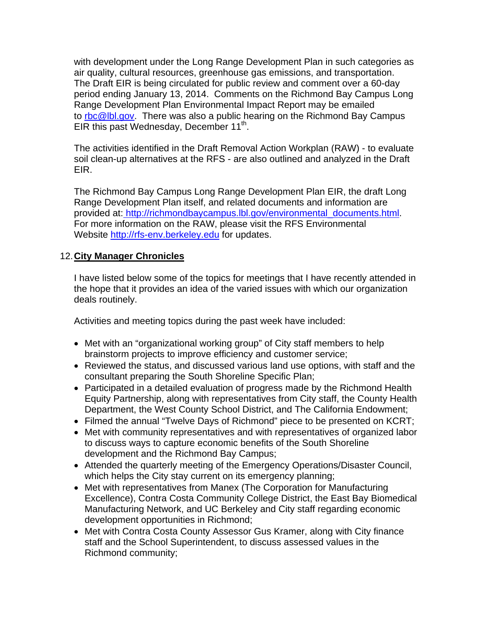with development under the Long Range Development Plan in such categories as air quality, cultural resources, greenhouse gas emissions, and transportation. The Draft EIR is being circulated for public review and comment over a 60-day period ending January 13, 2014. Comments on the Richmond Bay Campus Long Range Development Plan Environmental Impact Report may be emailed to rbc@lbl.gov. There was also a public hearing on the Richmond Bay Campus EIR this past Wednesday, December  $11^{th}$ .

The activities identified in the Draft Removal Action Workplan (RAW) - to evaluate soil clean-up alternatives at the RFS - are also outlined and analyzed in the Draft EIR.

The Richmond Bay Campus Long Range Development Plan EIR, the draft Long Range Development Plan itself, and related documents and information are provided at: http://richmondbaycampus.lbl.gov/environmental\_documents.html. For more information on the RAW, please visit the RFS Environmental Website http://rfs-env.berkeley.edu for updates.

## 12. **City Manager Chronicles**

I have listed below some of the topics for meetings that I have recently attended in the hope that it provides an idea of the varied issues with which our organization deals routinely.

Activities and meeting topics during the past week have included:

- Met with an "organizational working group" of City staff members to help brainstorm projects to improve efficiency and customer service;
- Reviewed the status, and discussed various land use options, with staff and the consultant preparing the South Shoreline Specific Plan;
- Participated in a detailed evaluation of progress made by the Richmond Health Equity Partnership, along with representatives from City staff, the County Health Department, the West County School District, and The California Endowment;
- Filmed the annual "Twelve Days of Richmond" piece to be presented on KCRT;
- Met with community representatives and with representatives of organized labor to discuss ways to capture economic benefits of the South Shoreline development and the Richmond Bay Campus;
- Attended the quarterly meeting of the Emergency Operations/Disaster Council, which helps the City stay current on its emergency planning;
- Met with representatives from Manex (The Corporation for Manufacturing Excellence), Contra Costa Community College District, the East Bay Biomedical Manufacturing Network, and UC Berkeley and City staff regarding economic development opportunities in Richmond;
- Met with Contra Costa County Assessor Gus Kramer, along with City finance staff and the School Superintendent, to discuss assessed values in the Richmond community;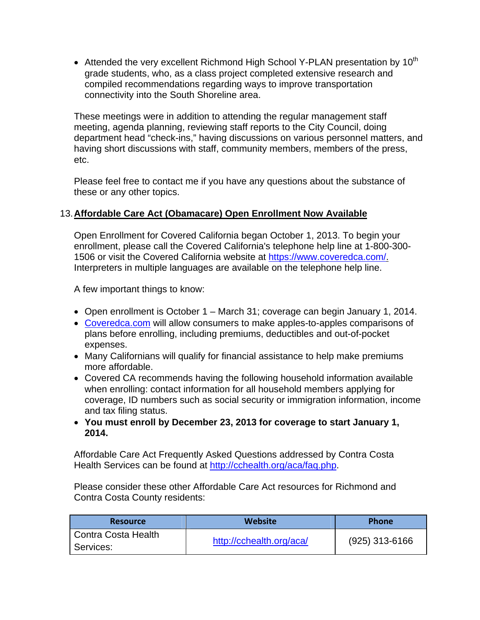• Attended the very excellent Richmond High School Y-PLAN presentation by  $10^{th}$ grade students, who, as a class project completed extensive research and compiled recommendations regarding ways to improve transportation connectivity into the South Shoreline area.

These meetings were in addition to attending the regular management staff meeting, agenda planning, reviewing staff reports to the City Council, doing department head "check-ins," having discussions on various personnel matters, and having short discussions with staff, community members, members of the press, etc.

Please feel free to contact me if you have any questions about the substance of these or any other topics.

## 13. **Affordable Care Act (Obamacare) Open Enrollment Now Available**

Open Enrollment for Covered California began October 1, 2013. To begin your enrollment, please call the Covered California's telephone help line at 1-800-300- 1506 or visit the Covered California website at https://www.coveredca.com/. Interpreters in multiple languages are available on the telephone help line.

A few important things to know:

- Open enrollment is October 1 March 31; coverage can begin January 1, 2014.
- Coveredca.com will allow consumers to make apples-to-apples comparisons of plans before enrolling, including premiums, deductibles and out-of-pocket expenses.
- Many Californians will qualify for financial assistance to help make premiums more affordable.
- Covered CA recommends having the following household information available when enrolling: contact information for all household members applying for coverage, ID numbers such as social security or immigration information, income and tax filing status.
- **You must enroll by December 23, 2013 for coverage to start January 1, 2014.**

Affordable Care Act Frequently Asked Questions addressed by Contra Costa Health Services can be found at http://cchealth.org/aca/faq.php.

Please consider these other Affordable Care Act resources for Richmond and Contra Costa County residents:

| <b>Resource</b>     | Website                  | <b>Phone</b>     |
|---------------------|--------------------------|------------------|
| Contra Costa Health | http://cchealth.org/aca/ | $(925)$ 313-6166 |
| Services:           |                          |                  |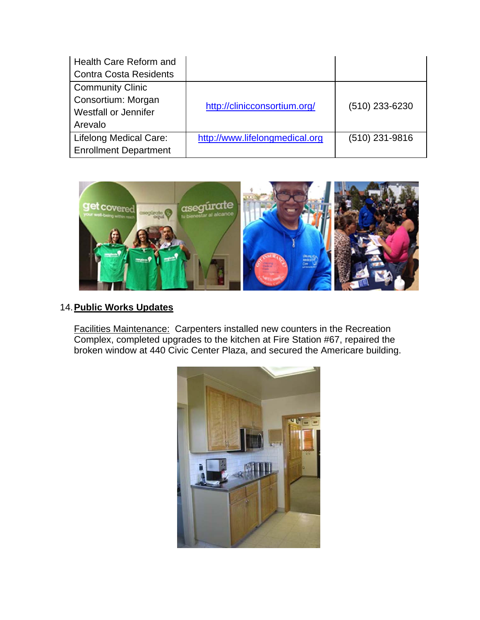| Health Care Reform and<br><b>Contra Costa Residents</b>                                 |                                |                |
|-----------------------------------------------------------------------------------------|--------------------------------|----------------|
| <b>Community Clinic</b><br>Consortium: Morgan<br><b>Westfall or Jennifer</b><br>Arevalo | http://clinicconsortium.org/   | (510) 233-6230 |
| <b>Lifelong Medical Care:</b><br><b>Enrollment Department</b>                           | http://www.lifelongmedical.org | (510) 231-9816 |



# 14. **Public Works Updates**

Facilities Maintenance: Carpenters installed new counters in the Recreation Complex, completed upgrades to the kitchen at Fire Station #67, repaired the broken window at 440 Civic Center Plaza, and secured the Americare building.

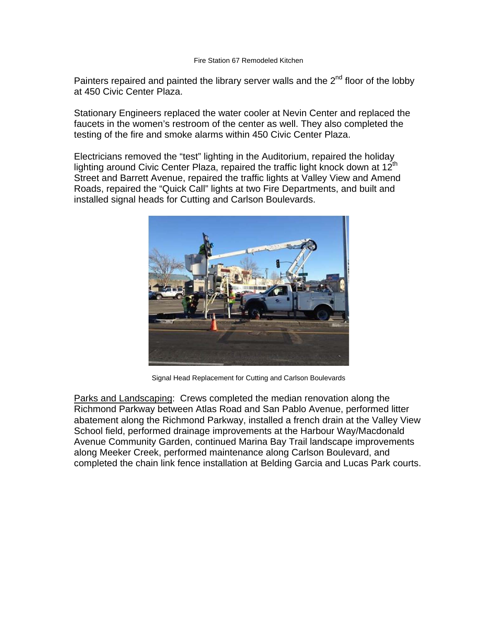#### Fire Station 67 Remodeled Kitchen

Painters repaired and painted the library server walls and the 2<sup>nd</sup> floor of the lobby at 450 Civic Center Plaza.

Stationary Engineers replaced the water cooler at Nevin Center and replaced the faucets in the women's restroom of the center as well. They also completed the testing of the fire and smoke alarms within 450 Civic Center Plaza.

Electricians removed the "test" lighting in the Auditorium, repaired the holiday lighting around Civic Center Plaza, repaired the traffic light knock down at  $12<sup>th</sup>$ Street and Barrett Avenue, repaired the traffic lights at Valley View and Amend Roads, repaired the "Quick Call" lights at two Fire Departments, and built and installed signal heads for Cutting and Carlson Boulevards.



Signal Head Replacement for Cutting and Carlson Boulevards

Parks and Landscaping: Crews completed the median renovation along the Richmond Parkway between Atlas Road and San Pablo Avenue, performed litter abatement along the Richmond Parkway, installed a french drain at the Valley View School field, performed drainage improvements at the Harbour Way/Macdonald Avenue Community Garden, continued Marina Bay Trail landscape improvements along Meeker Creek, performed maintenance along Carlson Boulevard, and completed the chain link fence installation at Belding Garcia and Lucas Park courts.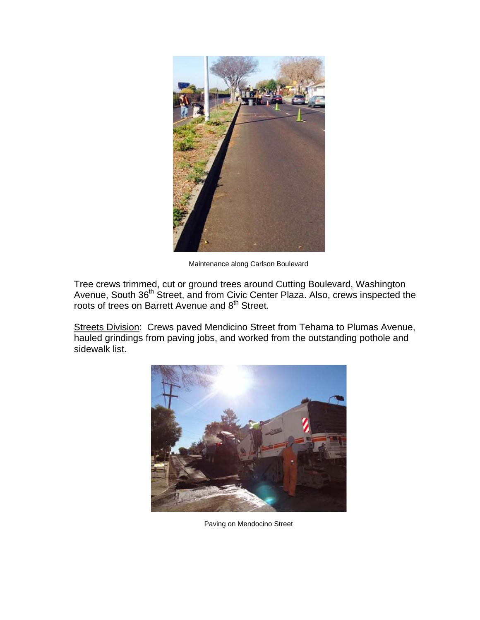

Maintenance along Carlson Boulevard

Tree crews trimmed, cut or ground trees around Cutting Boulevard, Washington Avenue, South 36<sup>th</sup> Street, and from Civic Center Plaza. Also, crews inspected the roots of trees on Barrett Avenue and 8<sup>th</sup> Street.

Streets Division: Crews paved Mendicino Street from Tehama to Plumas Avenue, hauled grindings from paving jobs, and worked from the outstanding pothole and sidewalk list.



Paving on Mendocino Street